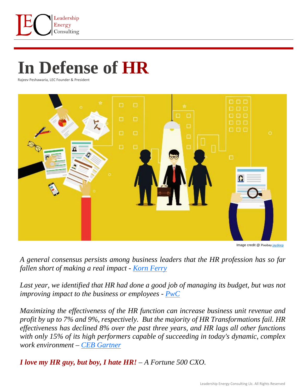

## **In Defense of HR**

Rajeev Peshawaria, LEC Founder & President



Image credit @ [Pixabay](https://unsplash.com/s/photos/remote-working?utm_source=unsplash&utm_medium=referral&utm_content=creditCopyText) [jaydeep](https://pixabay.com/illustrations/hr-process-hr-selection-interview-4783430/)

*A general consensus persists among business leaders that the HR profession has so far fallen short of making a real impact - [Korn Ferry](https://www.kornferry.com/talent-strategy/hr-effectiveness)*

Last year, we identified that HR had done a good job of managing its budget, but was not *improving impact to the business or employees - [PwC](https://www.pwc.com/us/en/hr-management/publications/trends-in-hr-effectiveness-2017.html)*

*Maximizing the effectiveness of the HR function can increase business unit revenue and profit by up to 7% and 9%, respectively. But the majority of HR Transformations fail. HR effectiveness has declined 8% over the past three years, and HR lags all other functions with only 15% of its high performers capable of succeeding in today's dynamic, complex work environment – [CEB Gartner](https://www.cebglobal.com/human-resources/hr-functional-effectiveness.html)*

*I love my HR guy, but boy, I hate HR! – A Fortune 500 CXO.*